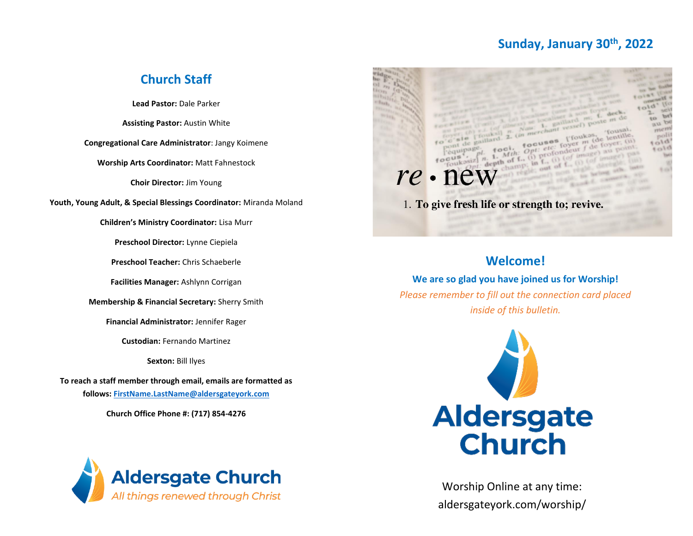# **Sunday, January 30th, 2022**

# **Church Staff**

**Lead Pastor:** Dale Parker

**Assisting Pastor:** Austin White

**Congregational Care Administrator**: Jangy Koimene

**Worship Arts Coordinator:** Matt Fahnestock

**Choir Director:** Jim Young

**Youth, Young Adult, & Special Blessings Coordinator:** Miranda Moland

**Children's Ministry Coordinator:** Lisa Murr

**Preschool Director:** Lynne Ciepiela

**Preschool Teacher:** Chris Schaeberle

**Facilities Manager:** Ashlynn Corrigan

**Membership & Financial Secretary:** Sherry Smith

**Financial Administrator:** Jennifer Rager

**Custodian:** Fernando Martinez

**Sexton:** Bill Ilyes

**To reach a staff member through email, emails are formatted as follows: [FirstName.LastName@aldersgateyork.com](mailto:FirstName.LastName@aldersgateyork.com)**

**Church Office Phone #: (717) 854-4276**





# **Welcome!**

**We are so glad you have joined us for Worship!** *Please remember to fill out the connection card placed inside of this bulletin.*



Worship Online at any time: aldersgateyork.com/worship/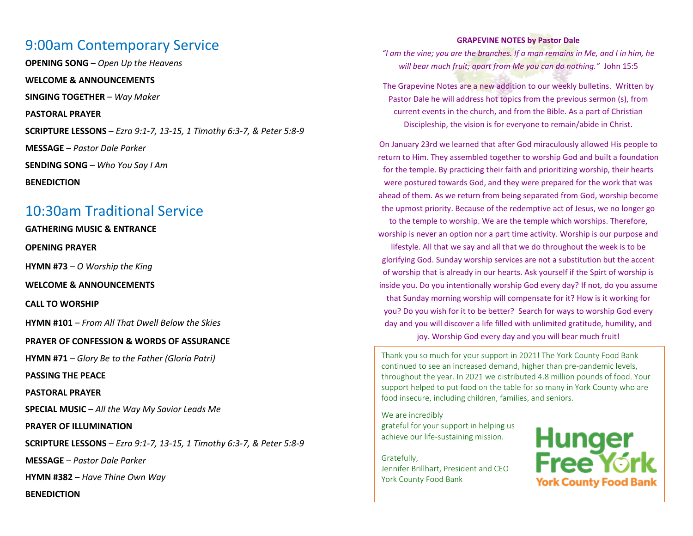# 9:00am Contemporary Service

**OPENING SONG** – *Open Up the Heavens*

**WELCOME & ANNOUNCEMENTS**

**SINGING TOGETHER** – *Way Maker*

**PASTORAL PRAYER**

**SCRIPTURE LESSONS** – *Ezra 9:1-7, 13-15, 1 Timothy 6:3-7, & Peter 5:8-9*

**MESSAGE** – *Pastor Dale Parker*

**SENDING SONG** – *Who You Say I Am*

**BENEDICTION**

# 10:30am Traditional Service

**GATHERING MUSIC & ENTRANCE**

**OPENING PRAYER**

**HYMN #73** – *O Worship the King*

**WELCOME & ANNOUNCEMENTS**

**CALL TO WORSHIP**

**HYMN #101** – *From All That Dwell Below the Skies*

**PRAYER OF CONFESSION & WORDS OF ASSURANCE**

**HYMN #71** – *Glory Be to the Father (Gloria Patri)*

**PASSING THE PEACE**

**PASTORAL PRAYER**

**SPECIAL MUSIC** – *All the Way My Savior Leads Me*

**PRAYER OF ILLUMINATION**

**SCRIPTURE LESSONS** – *Ezra 9:1-7, 13-15, 1 Timothy 6:3-7, & Peter 5:8-9*

**MESSAGE** – *Pastor Dale Parker*

**HYMN #382** – *Have Thine Own Way*

**BENEDICTION**

### **GRAPEVINE NOTES by Pastor Dale**

*"I am the vine; you are the branches. If a man remains in Me, and I in him, he will bear much fruit; apart from Me you can do nothing."* John 15:5

The Grapevine Notes are a new addition to our weekly bulletins. Written by Pastor Dale he will address hot topics from the previous sermon (s), from current events in the church, and from the Bible. As a part of Christian Discipleship, the vision is for everyone to remain/abide in Christ.

On January 23rd we learned that after God miraculously allowed His people to return to Him. They assembled together to worship God and built a foundation for the temple. By practicing their faith and prioritizing worship, their hearts were postured towards God, and they were prepared for the work that was ahead of them. As we return from being separated from God, worship become the upmost priority. Because of the redemptive act of Jesus, we no longer go

to the temple to worship. We are the temple which worships. Therefore, worship is never an option nor a part time activity. Worship is our purpose and

lifestyle. All that we say and all that we do throughout the week is to be glorifying God. Sunday worship services are not a substitution but the accent of worship that is already in our hearts. Ask yourself if the Spirt of worship is inside you. Do you intentionally worship God every day? If not, do you assume that Sunday morning worship will compensate for it? How is it working for you? Do you wish for it to be better? Search for ways to worship God every day and you will discover a life filled with unlimited gratitude, humility, and joy. Worship God every day and you will bear much fruit!

Thank you so much for your support in 2021! The York County Food Bank continued to see an increased demand, higher than pre-pandemic levels, throughout the year. In 2021 we distributed 4.8 million pounds of food. Your support helped to put food on the table for so many in York County who are food insecure, including children, families, and seniors.

We are incredibly grateful for your support in helping us achieve our life-sustaining mission.

Gratefully, Jennifer Brillhart, President and CEO York County Food Bank

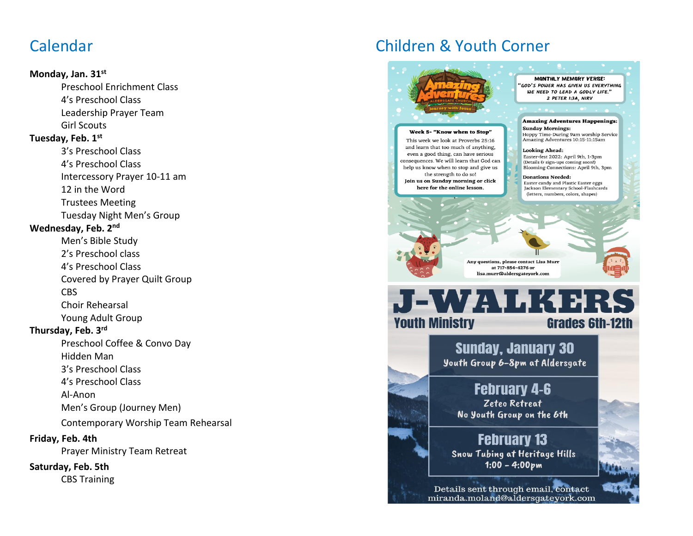# Calendar

### **Monday, Jan. 31st**

Preschool Enrichment Class 4's Preschool Class Leadership Prayer Team Girl Scouts

### **Tuesday, Feb. 1st**

3's Preschool Class 4's Preschool Class Intercessory Prayer 10-11 am 12 in the Word Trustees Meeting Tuesday Night Men's Group

## **Wednesday, Feb. 2nd**

Men's Bible Study

2's Preschool class

4's Preschool Class

Covered by Prayer Quilt Group CBS

Choir Rehearsal Young Adult Group

### **Thursday, Feb. 3rd**

Preschool Coffee & Convo Day

Hidden Man

3's Preschool Class

4's Preschool Class

Al-Anon

Men's Group (Journey Men)

Contemporary Worship Team Rehearsal

### **Friday, Feb. 4th**

Prayer Ministry Team Retreat

## **Saturday, Feb. 5th**

CBS Training

# Children & Youth Corner